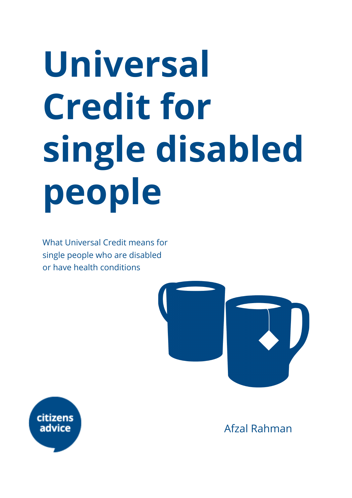# **Universal Credit for single disabled people**

What Universal Credit means for single people who are disabled or have health conditions





Afzal Rahman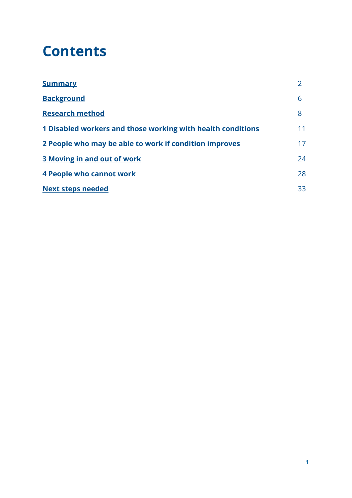# **Contents**

| <b>Summary</b>                                              |    |
|-------------------------------------------------------------|----|
| <b>Background</b>                                           | 6  |
| <b>Research method</b>                                      | 8  |
| 1 Disabled workers and those working with health conditions | 11 |
| 2 People who may be able to work if condition improves      | 17 |
| <b>3 Moving in and out of work</b>                          | 24 |
| 4 People who cannot work                                    | 28 |
| <b>Next steps needed</b>                                    | 33 |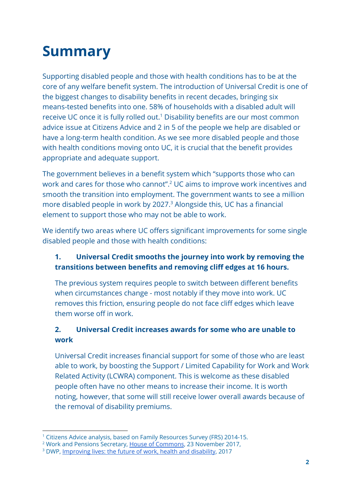# <span id="page-2-0"></span>**Summary**

Supporting disabled people and those with health conditions has to be at the core of any welfare benefit system. The introduction of Universal Credit is one of the biggest changes to disability benefits in recent decades, bringing six means-tested benefits into one. 58% of households with a disabled adult will receive UC once it is fully rolled out.<sup>1</sup> Disability benefits are our most common advice issue at Citizens Advice and 2 in 5 of the people we help are disabled or have a long-term health condition. As we see more disabled people and those with health conditions moving onto UC, it is crucial that the benefit provides appropriate and adequate support.

The government believes in a benefit system which "supports those who can work and cares for those who cannot".<sup>2</sup> UC aims to improve work incentives and smooth the transition into employment. The government wants to see a million more disabled people in work by 2027.<sup>3</sup> Alongside this, UC has a financial element to support those who may not be able to work.

We identify two areas where UC offers significant improvements for some single disabled people and those with health conditions:

# **1. Universal Credit smooths the journey into work by removing the transitions between benefits and removing cliff edges at 16 hours.**

The previous system requires people to switch between different benefits when circumstances change - most notably if they move into work. UC removes this friction, ensuring people do not face cliff edges which leave them worse off in work.

# **2. Universal Credit increases awards for some who are unable to work**

Universal Credit increases financial support for some of those who are least able to work, by boosting the Support / Limited Capability for Work and Work Related Activity (LCWRA) component. This is welcome as these disabled people often have no other means to increase their income. It is worth noting, however, that some will still receive lower overall awards because of the removal of disability premiums.

<sup>&</sup>lt;sup>1</sup> Citizens Advice analysis, based on Family Resources Survey (FRS) 2014-15.

<sup>&</sup>lt;sup>2</sup> Work and Pensions Secretary, House of [Commons,](https://hansard.parliament.uk/Commons/2017-11-23/debates/36EF5FEE-7FB1-4841-A242-7625ED73FCA0/UniversalCredit#contribution-9D99F17A-3B9D-4DEE-96C5-07136C7CC394) 23 November 2017,

<sup>&</sup>lt;sup>3</sup> DWP, [Improving](https://www.gov.uk/government/publications/improving-lives-the-future-of-work-health-and-disability) lives: the future of work, health and disability, 2017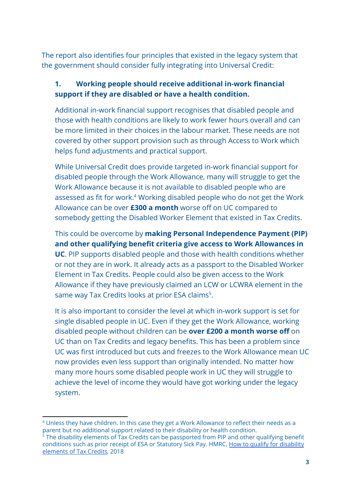The report also identifies four principles that existed in the legacy system that the government should consider fully integrating into Universal Credit:

### **1. Working people should receive additional in-work financial support if they are disabled or have a health condition.**

Additional in-work financial support recognises that disabled people and those with health conditions are likely to work fewer hours overall and can be more limited in their choices in the labour market. These needs are not covered by other support provision such as through Access to Work which helps fund adjustments and practical support.

While Universal Credit does provide targeted in-work financial support for disabled people through the Work Allowance, many will struggle to get the Work Allowance because it is not available to disabled people who are assessed as fit for work.<sup>4</sup> Working disabled people who do not get the Work Allowance can be over **£300 a month** worse off on UC compared to somebody getting the Disabled Worker Element that existed in Tax Credits.

This could be overcome by **making Personal Independence Payment (PIP) and other qualifying benefit criteria give access to Work Allowances in UC**. PIP supports disabled people and those with health conditions whether or not they are in work. It already acts as a passport to the Disabled Worker Element in Tax Credits. People could also be given access to the Work Allowance if they have previously claimed an LCW or LCWRA element in the same way Tax Credits looks at prior ESA claims<sup>5</sup>.

It is also important to consider the level at which in-work support is set for single disabled people in UC. Even if they get the Work Allowance, working disabled people without children can be **over £200 a month worse off** on UC than on Tax Credits and legacy benefits. This has been a problem since UC was first introduced but cuts and freezes to the Work Allowance mean UC now provides even less support than originally intended. No matter how many more hours some disabled people work in UC they will struggle to achieve the level of income they would have got working under the legacy system.

<sup>4</sup> Unless they have children. In this case they get a Work Allowance to reflect their needs as a parent but no additional support related to their disability or health condition.

 $5$  The disability elements of Tax Credits can be passported from PIP and other qualifying benefit conditions such as prior receipt of ESA or Statutory Sick Pay. HMRC, How to qualify for [disability](https://assets.publishing.service.gov.uk/government/uploads/system/uploads/attachment_data/file/738887/TC956_Disability_Helpsheet_Eng_2018.pdf) [elements](https://assets.publishing.service.gov.uk/government/uploads/system/uploads/attachment_data/file/738887/TC956_Disability_Helpsheet_Eng_2018.pdf) of Tax Credits, 2018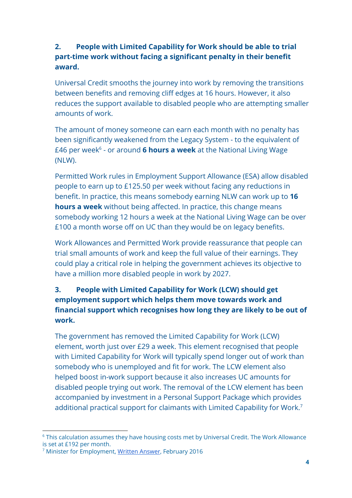### **2. People with Limited Capability for Work should be able to trial part-time work without facing a significant penalty in their benefit award.**

Universal Credit smooths the journey into work by removing the transitions between benefits and removing cliff edges at 16 hours. However, it also reduces the support available to disabled people who are attempting smaller amounts of work.

The amount of money someone can earn each month with no penalty has been significantly weakened from the Legacy System - to the equivalent of £46 per week<sup>6</sup> - or around **6 hours a week** at the National Living Wage (NLW).

Permitted Work rules in Employment Support Allowance (ESA) allow disabled people to earn up to £125.50 per week without facing any reductions in benefit. In practice, this means somebody earning NLW can work up to **16 hours a week** without being affected. In practice, this change means somebody working 12 hours a week at the National Living Wage can be over £100 a month worse off on UC than they would be on legacy benefits.

Work Allowances and Permitted Work provide reassurance that people can trial small amounts of work and keep the full value of their earnings. They could play a critical role in helping the government achieves its objective to have a million more disabled people in work by 2027.

# **3. People with Limited Capability for Work (LCW) should get employment support which helps them move towards work and financial support which recognises how long they are likely to be out of work.**

The government has removed the Limited Capability for Work (LCW) element, worth just over £29 a week. This element recognised that people with Limited Capability for Work will typically spend longer out of work than somebody who is unemployed and fit for work. The LCW element also helped boost in-work support because it also increases UC amounts for disabled people trying out work. The removal of the LCW element has been accompanied by investment in a Personal Support Package which provides additional practical support for claimants with Limited Capability for Work.<sup>7</sup>

<sup>&</sup>lt;sup>6</sup> This calculation assumes they have housing costs met by Universal Credit. The Work Allowance is set at £192 per month.

<sup>7</sup> Minister for Employment, Written [Answer](https://www.parliament.uk/written-questions-answers-statements/written-question/commons/2016-02-24/28281), February 2016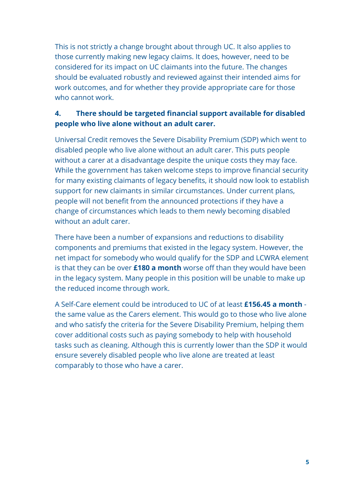This is not strictly a change brought about through UC. It also applies to those currently making new legacy claims. It does, however, need to be considered for its impact on UC claimants into the future. The changes should be evaluated robustly and reviewed against their intended aims for work outcomes, and for whether they provide appropriate care for those who cannot work.

### **4. There should be targeted financial support available for disabled people who live alone without an adult carer.**

Universal Credit removes the Severe Disability Premium (SDP) which went to disabled people who live alone without an adult carer. This puts people without a carer at a disadvantage despite the unique costs they may face. While the government has taken welcome steps to improve financial security for many existing claimants of legacy benefits, it should now look to establish support for new claimants in similar circumstances. Under current plans, people will not benefit from the announced protections if they have a change of circumstances which leads to them newly becoming disabled without an adult carer.

There have been a number of expansions and reductions to disability components and premiums that existed in the legacy system. However, the net impact for somebody who would qualify for the SDP and LCWRA element is that they can be over **£180 a month** worse off than they would have been in the legacy system. Many people in this position will be unable to make up the reduced income through work.

A Self-Care element could be introduced to UC of at least **£156.45 a month** the same value as the Carers element. This would go to those who live alone and who satisfy the criteria for the Severe Disability Premium, helping them cover additional costs such as paying somebody to help with household tasks such as cleaning. Although this is currently lower than the SDP it would ensure severely disabled people who live alone are treated at least comparably to those who have a carer.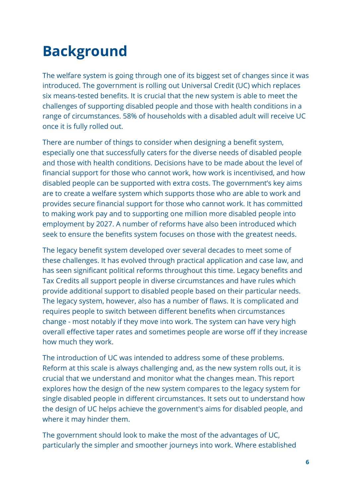# <span id="page-6-0"></span>**Background**

The welfare system is going through one of its biggest set of changes since it was introduced. The government is rolling out Universal Credit (UC) which replaces six means-tested benefits. It is crucial that the new system is able to meet the challenges of supporting disabled people and those with health conditions in a range of circumstances. 58% of households with a disabled adult will receive UC once it is fully rolled out.

There are number of things to consider when designing a benefit system, especially one that successfully caters for the diverse needs of disabled people and those with health conditions. Decisions have to be made about the level of financial support for those who cannot work, how work is incentivised, and how disabled people can be supported with extra costs. The government's key aims are to create a welfare system which supports those who are able to work and provides secure financial support for those who cannot work. It has committed to making work pay and to supporting one million more disabled people into employment by 2027. A number of reforms have also been introduced which seek to ensure the benefits system focuses on those with the greatest needs.

The legacy benefit system developed over several decades to meet some of these challenges. It has evolved through practical application and case law, and has seen significant political reforms throughout this time. Legacy benefits and Tax Credits all support people in diverse circumstances and have rules which provide additional support to disabled people based on their particular needs. The legacy system, however, also has a number of flaws. It is complicated and requires people to switch between different benefits when circumstances change - most notably if they move into work. The system can have very high overall effective taper rates and sometimes people are worse off if they increase how much they work.

The introduction of UC was intended to address some of these problems. Reform at this scale is always challenging and, as the new system rolls out, it is crucial that we understand and monitor what the changes mean. This report explores how the design of the new system compares to the legacy system for single disabled people in different circumstances. It sets out to understand how the design of UC helps achieve the government's aims for disabled people, and where it may hinder them.

The government should look to make the most of the advantages of UC, particularly the simpler and smoother journeys into work. Where established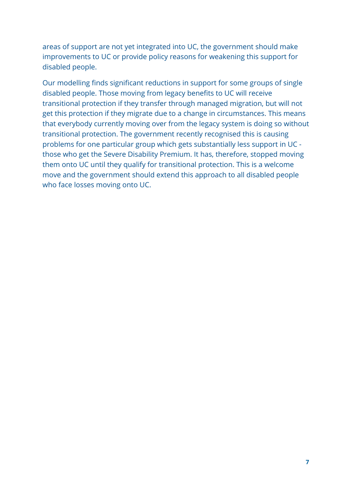areas of support are not yet integrated into UC, the government should make improvements to UC or provide policy reasons for weakening this support for disabled people.

Our modelling finds significant reductions in support for some groups of single disabled people. Those moving from legacy benefits to UC will receive transitional protection if they transfer through managed migration, but will not get this protection if they migrate due to a change in circumstances. This means that everybody currently moving over from the legacy system is doing so without transitional protection. The government recently recognised this is causing problems for one particular group which gets substantially less support in UC those who get the Severe Disability Premium. It has, therefore, stopped moving them onto UC until they qualify for transitional protection. This is a welcome move and the government should extend this approach to all disabled people who face losses moving onto UC.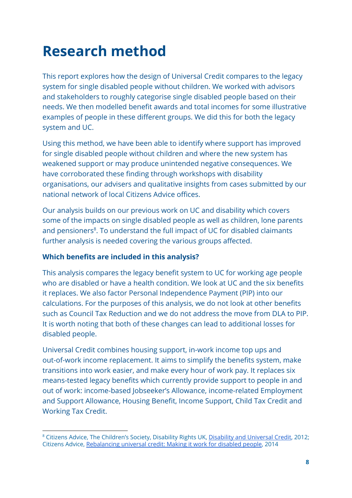# <span id="page-8-0"></span>**Research method**

This report explores how the design of Universal Credit compares to the legacy system for single disabled people without children. We worked with advisors and stakeholders to roughly categorise single disabled people based on their needs. We then modelled benefit awards and total incomes for some illustrative examples of people in these different groups. We did this for both the legacy system and UC.

Using this method, we have been able to identify where support has improved for single disabled people without children and where the new system has weakened support or may produce unintended negative consequences. We have corroborated these finding through workshops with disability organisations, our advisers and qualitative insights from cases submitted by our national network of local Citizens Advice offices.

Our analysis builds on our previous work on UC and disability which covers some of the impacts on single disabled people as well as children, lone parents and pensioners<sup>8</sup>. To understand the full impact of UC for disabled claimants further analysis is needed covering the various groups affected.

#### **Which benefits are included in this analysis?**

This analysis compares the legacy benefit system to UC for working age people who are disabled or have a health condition. We look at UC and the six benefits it replaces. We also factor Personal Independence Payment (PIP) into our calculations. For the purposes of this analysis, we do not look at other benefits such as Council Tax Reduction and we do not address the move from DLA to PIP. It is worth noting that both of these changes can lead to additional losses for disabled people.

Universal Credit combines housing support, in-work income top ups and out-of-work income replacement. It aims to simplify the benefits system, make transitions into work easier, and make every hour of work pay. It replaces six means-tested legacy benefits which currently provide support to people in and out of work: income-based Jobseeker's Allowance, income-related Employment and Support Allowance, Housing Benefit, Income Support, Child Tax Credit and Working Tax Credit.

<sup>&</sup>lt;sup>8</sup> Citizens Advice, The Children's Society, Disability Rights UK, Disability and [Universal](https://www.citizensadvice.org.uk/Global/Migrated_Documents/corporate/disability-universal-credit-final-web.pdf) Credit, 2012; Citizens Advice, [Rebalancing](https://www.citizensadvice.org.uk/about-us/policy/policy-research-topics/welfare-policy-research-surveys-and-consultation-responses/welfare-policy-research/rebalancing-universal-credit-making-it-work-for-disabled-people/) universal credit: Making it work for disabled people, 2014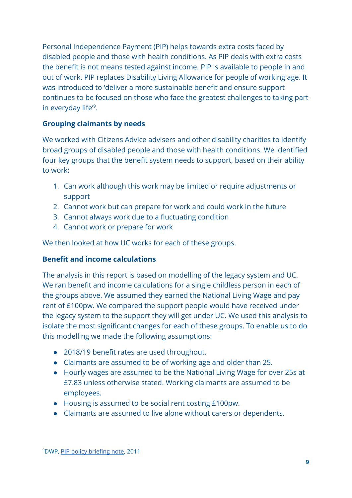Personal Independence Payment (PIP) helps towards extra costs faced by disabled people and those with health conditions. As PIP deals with extra costs the benefit is not means tested against income. PIP is available to people in and out of work. PIP replaces Disability Living Allowance for people of working age. It was introduced to 'deliver a more sustainable benefit and ensure support continues to be focused on those who face the greatest challenges to taking part in everyday life'<sup>9</sup>.

### **Grouping claimants by needs**

We worked with Citizens Advice advisers and other disability charities to identify broad groups of disabled people and those with health conditions. We identified four key groups that the benefit system needs to support, based on their ability to work:

- 1. Can work although this work may be limited or require adjustments or support
- 2. Cannot work but can prepare for work and could work in the future
- 3. Cannot always work due to a fluctuating condition
- 4. Cannot work or prepare for work

We then looked at how UC works for each of these groups.

### **Benefit and income calculations**

The analysis in this report is based on modelling of the legacy system and UC. We ran benefit and income calculations for a single childless person in each of the groups above. We assumed they earned the National Living Wage and pay rent of £100pw. We compared the support people would have received under the legacy system to the support they will get under UC. We used this analysis to isolate the most significant changes for each of these groups. To enable us to do this modelling we made the following assumptions:

- 2018/19 benefit rates are used throughout.
- Claimants are assumed to be of working age and older than 25.
- Hourly wages are assumed to be the National Living Wage for over 25s at £7.83 unless otherwise stated. Working claimants are assumed to be employees.
- Housing is assumed to be social rent costing £100pw.
- Claimants are assumed to live alone without carers or dependents.

<sup>9</sup>DWP, PIP policy [briefing](https://www.gov.uk/government/uploads/system/uploads/attachment_data/file/180921/pip-briefing-introduction.pdf) note, 2011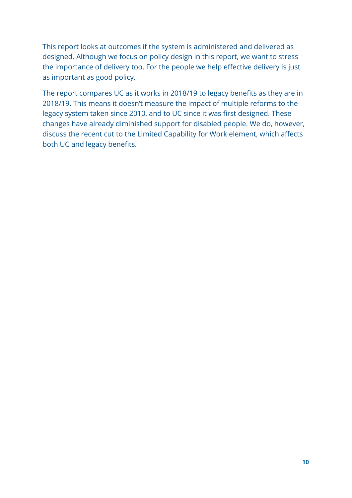This report looks at outcomes if the system is administered and delivered as designed. Although we focus on policy design in this report, we want to stress the importance of delivery too. For the people we help effective delivery is just as important as good policy.

The report compares UC as it works in 2018/19 to legacy benefits as they are in 2018/19. This means it doesn't measure the impact of multiple reforms to the legacy system taken since 2010, and to UC since it was first designed. These changes have already diminished support for disabled people. We do, however, discuss the recent cut to the Limited Capability for Work element, which affects both UC and legacy benefits.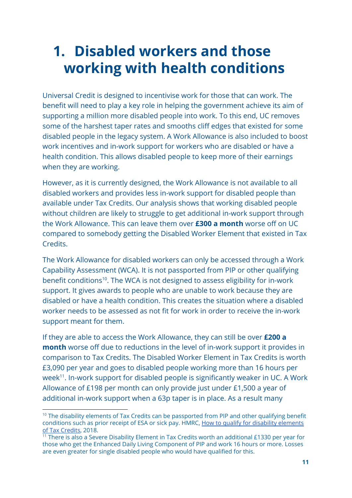# <span id="page-11-0"></span>**1. Disabled workers and those working with health conditions**

Universal Credit is designed to incentivise work for those that can work. The benefit will need to play a key role in helping the government achieve its aim of supporting a million more disabled people into work. To this end, UC removes some of the harshest taper rates and smooths cliff edges that existed for some disabled people in the legacy system. A Work Allowance is also included to boost work incentives and in-work support for workers who are disabled or have a health condition. This allows disabled people to keep more of their earnings when they are working.

However, as it is currently designed, the Work Allowance is not available to all disabled workers and provides less in-work support for disabled people than available under Tax Credits. Our analysis shows that working disabled people without children are likely to struggle to get additional in-work support through the Work Allowance. This can leave them over **£300 a month** worse off on UC compared to somebody getting the Disabled Worker Element that existed in Tax Credits.

The Work Allowance for disabled workers can only be accessed through a Work Capability Assessment (WCA). It is not passported from PIP or other qualifying benefit conditions<sup>10</sup>. The WCA is not designed to assess eligibility for in-work support. It gives awards to people who are unable to work because they are disabled or have a health condition. This creates the situation where a disabled worker needs to be assessed as not fit for work in order to receive the in-work support meant for them.

If they are able to access the Work Allowance, they can still be over **£200 a month** worse off due to reductions in the level of in-work support it provides in comparison to Tax Credits. The Disabled Worker Element in Tax Credits is worth £3,090 per year and goes to disabled people working more than 16 hours per week<sup>11</sup>. In-work support for disabled people is significantly weaker in UC. A Work Allowance of £198 per month can only provide just under £1,500 a year of additional in-work support when a 63p taper is in place. As a result many

<sup>&</sup>lt;sup>10</sup> The disability elements of Tax Credits can be passported from PIP and other qualifying benefit conditions such as prior receipt of ESA or sick pay. HMRC, How to qualify for disability [elements](https://assets.publishing.service.gov.uk/government/uploads/system/uploads/attachment_data/file/738887/TC956_Disability_Helpsheet_Eng_2018.pdf) of Tax [Credits](https://assets.publishing.service.gov.uk/government/uploads/system/uploads/attachment_data/file/738887/TC956_Disability_Helpsheet_Eng_2018.pdf), 2018.

 $\frac{11}{11}$  There is also a Severe Disability Element in Tax Credits worth an additional £1330 per year for those who get the Enhanced Daily Living Component of PIP and work 16 hours or more. Losses are even greater for single disabled people who would have qualified for this.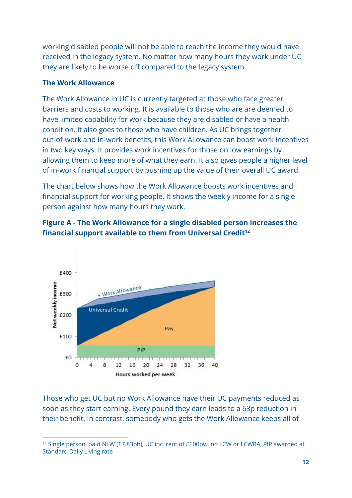working disabled people will not be able to reach the income they would have received in the legacy system. No matter how many hours they work under UC they are likely to be worse off compared to the legacy system.

### **The Work Allowance**

The Work Allowance in UC is currently targeted at those who face greater barriers and costs to working. It is available to those who are are deemed to have limited capability for work because they are disabled or have a health condition. It also goes to those who have children. As UC brings together out-of-work and in-work benefits, this Work Allowance can boost work incentives in two key ways. It provides work incentives for those on low earnings by allowing them to keep more of what they earn. It also gives people a higher level of in-work financial support by pushing up the value of their overall UC award.

The chart below shows how the Work Allowance boosts work incentives and financial support for working people. It shows the weekly income for a single person against how many hours they work.





Those who get UC but no Work Allowance have their UC payments reduced as soon as they start earning. Every pound they earn leads to a 63p reduction in their benefit. In contrast, somebody who gets the Work Allowance keeps all of

<sup>&</sup>lt;sup>12</sup> Single person, paid NLW (£7.83ph), UC inc. rent of £100pw, no LCW or LCWRA, PIP awarded at Standard Daily Living rate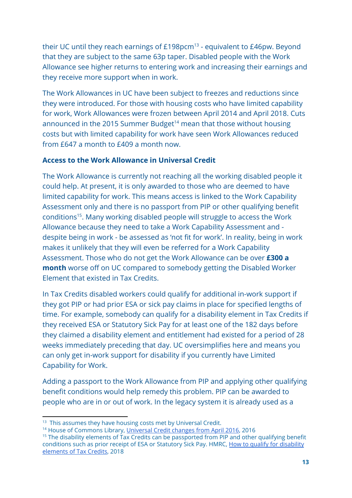their UC until they reach earnings of  $£198$ pcm<sup>13</sup> - equivalent to  $£46$ pw. Beyond that they are subject to the same 63p taper. Disabled people with the Work Allowance see higher returns to entering work and increasing their earnings and they receive more support when in work.

The Work Allowances in UC have been subject to freezes and reductions since they were introduced. For those with housing costs who have limited capability for work, Work Allowances were frozen between April 2014 and April 2018. Cuts announced in the 2015 Summer Budget<sup>14</sup> mean that those without housing costs but with limited capability for work have seen Work Allowances reduced from £647 a month to £409 a month now.

#### **Access to the Work Allowance in Universal Credit**

The Work Allowance is currently not reaching all the working disabled people it could help. At present, it is only awarded to those who are deemed to have limited capability for work. This means access is linked to the Work Capability Assessment only and there is no passport from PIP or other qualifying benefit conditions<sup>15</sup>. Many working disabled people will struggle to access the Work Allowance because they need to take a Work Capability Assessment and despite being in work - be assessed as 'not fit for work'. In reality, being in work makes it unlikely that they will even be referred for a Work Capability Assessment. Those who do not get the Work Allowance can be over **£300 a month** worse off on UC compared to somebody getting the Disabled Worker Element that existed in Tax Credits.

In Tax Credits disabled workers could qualify for additional in-work support if they got PIP or had prior ESA or sick pay claims in place for specified lengths of time. For example, somebody can qualify for a disability element in Tax Credits if they received ESA or Statutory Sick Pay for at least one of the 182 days before they claimed a disability element and entitlement had existed for a period of 28 weeks immediately preceding that day. UC oversimplifies here and means you can only get in-work support for disability if you currently have Limited Capability for Work.

Adding a passport to the Work Allowance from PIP and applying other qualifying benefit conditions would help remedy this problem. PIP can be awarded to people who are in or out of work. In the legacy system it is already used as a

<sup>&</sup>lt;sup>13</sup> This assumes they have housing costs met by Universal Credit.

<sup>&</sup>lt;sup>14</sup> House of Commons Library, *[Universal](https://researchbriefings.parliament.uk/ResearchBriefing/Summary/CBP-7446) Credit changes from April 2016*, 2016

<sup>&</sup>lt;sup>15</sup> The disability elements of Tax Credits can be passported from PIP and other qualifying benefit conditions such as prior receipt of ESA or Statutory Sick Pay. HMRC, How to qualify for [disability](https://assets.publishing.service.gov.uk/government/uploads/system/uploads/attachment_data/file/738887/TC956_Disability_Helpsheet_Eng_2018.pdf) [elements](https://assets.publishing.service.gov.uk/government/uploads/system/uploads/attachment_data/file/738887/TC956_Disability_Helpsheet_Eng_2018.pdf) of Tax Credits, 2018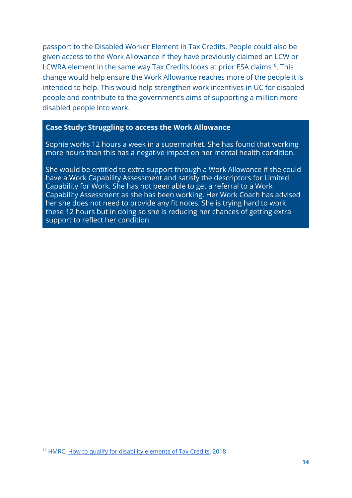passport to the Disabled Worker Element in Tax Credits. People could also be given access to the Work Allowance if they have previously claimed an LCW or LCWRA element in the same way Tax Credits looks at prior ESA claims<sup>16</sup>. This change would help ensure the Work Allowance reaches more of the people it is intended to help. This would help strengthen work incentives in UC for disabled people and contribute to the government's aims of supporting a million more disabled people into work.

#### **Case Study: Struggling to access the Work Allowance**

Sophie works 12 hours a week in a supermarket. She has found that working more hours than this has a negative impact on her mental health condition.

She would be entitled to extra support through a Work Allowance if she could have a Work Capability Assessment and satisfy the descriptors for Limited Capability for Work. She has not been able to get a referral to a Work Capability Assessment as she has been working. Her Work Coach has advised her she does not need to provide any fit notes. She is trying hard to work these 12 hours but in doing so she is reducing her chances of getting extra support to reflect her condition.

<sup>&</sup>lt;sup>16</sup> HMRC, How to qualify for disability [elements](https://assets.publishing.service.gov.uk/government/uploads/system/uploads/attachment_data/file/738887/TC956_Disability_Helpsheet_Eng_2018.pdf) of Tax Credits, 2018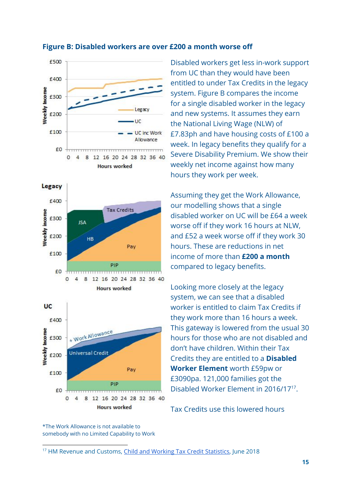

#### **Figure B: Disabled workers are over £200 a month worse off**

Disabled workers get less in-work support from UC than they would have been entitled to under Tax Credits in the legacy system. Figure B compares the income for a single disabled worker in the legacy and new systems. It assumes they earn the National Living Wage (NLW) of £7.83ph and have housing costs of £100 a week. In legacy benefits they qualify for a Severe Disability Premium. We show their weekly net income against how many hours they work per week.

Assuming they get the Work Allowance, our modelling shows that a single disabled worker on UC will be £64 a week worse off if they work 16 hours at NLW, and £52 a week worse off if they work 30 hours. These are reductions in net income of more than **£200 a month** compared to legacy benefits.

Looking more closely at the legacy system, we can see that a disabled worker is entitled to claim Tax Credits if they work more than 16 hours a week. This gateway is lowered from the usual 30 hours for those who are not disabled and don't have children. Within their Tax Credits they are entitled to a **Disabled Worker Element** worth £59pw or £3090pa. 121,000 families got the Disabled Worker Element in 2016/17<sup>17</sup>.

Tax Credits use this lowered hours

\*The Work Allowance is not available to somebody with no Limited Capability to Work

<sup>&</sup>lt;sup>17</sup> HM Revenue and Customs, Child and Working Tax Credit [Statistics,](https://www.gov.uk/government/statistics/child-and-working-tax-credits-statistics-finalised-annual-awards-2016-to-2017) June 2018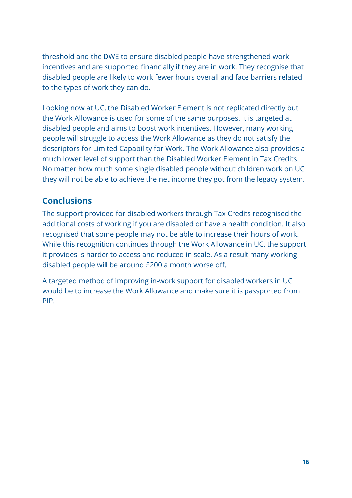threshold and the DWE to ensure disabled people have strengthened work incentives and are supported financially if they are in work. They recognise that disabled people are likely to work fewer hours overall and face barriers related to the types of work they can do.

Looking now at UC, the Disabled Worker Element is not replicated directly but the Work Allowance is used for some of the same purposes. It is targeted at disabled people and aims to boost work incentives. However, many working people will struggle to access the Work Allowance as they do not satisfy the descriptors for Limited Capability for Work. The Work Allowance also provides a much lower level of support than the Disabled Worker Element in Tax Credits. No matter how much some single disabled people without children work on UC they will not be able to achieve the net income they got from the legacy system.

# **Conclusions**

The support provided for disabled workers through Tax Credits recognised the additional costs of working if you are disabled or have a health condition. It also recognised that some people may not be able to increase their hours of work. While this recognition continues through the Work Allowance in UC, the support it provides is harder to access and reduced in scale. As a result many working disabled people will be around £200 a month worse off.

A targeted method of improving in-work support for disabled workers in UC would be to increase the Work Allowance and make sure it is passported from PIP.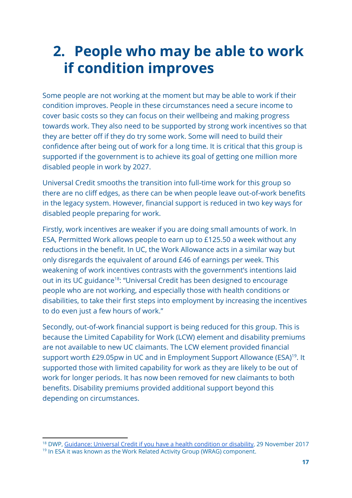# <span id="page-17-0"></span>**2. People who may be able to work if condition improves**

Some people are not working at the moment but may be able to work if their condition improves. People in these circumstances need a secure income to cover basic costs so they can focus on their wellbeing and making progress towards work. They also need to be supported by strong work incentives so that they are better off if they do try some work. Some will need to build their confidence after being out of work for a long time. It is critical that this group is supported if the government is to achieve its goal of getting one million more disabled people in work by 2027.

Universal Credit smooths the transition into full-time work for this group so there are no cliff edges, as there can be when people leave out-of-work benefits in the legacy system. However, financial support is reduced in two key ways for disabled people preparing for work.

Firstly, work incentives are weaker if you are doing small amounts of work. In ESA, Permitted Work allows people to earn up to £125.50 a week without any reductions in the benefit. In UC, the Work Allowance acts in a similar way but only disregards the equivalent of around £46 of earnings per week. This weakening of work incentives contrasts with the government's intentions laid out in its UC guidance<sup>18</sup>: "Universal Credit has been designed to encourage people who are not working, and especially those with health conditions or disabilities, to take their first steps into employment by increasing the incentives to do even just a few hours of work."

Secondly, out-of-work financial support is being reduced for this group. This is because the Limited Capability for Work (LCW) element and disability premiums are not available to new UC claimants. The LCW element provided financial support worth  $£29.05$ pw in UC and in Employment Support Allowance (ESA)<sup>19</sup>. It supported those with limited capability for work as they are likely to be out of work for longer periods. It has now been removed for new claimants to both benefits. Disability premiums provided additional support beyond this depending on circumstances.

<sup>&</sup>lt;sup>18</sup> DWP, [Guidance:](https://www.gov.uk/government/publications/universal-credit-if-you-have-a-disability-or-health-condition-quick-guide/universal-credit-if-you-have-a-disability-or-health-condition) Universal Credit if you have a health condition or disability, 29 November 2017

<sup>&</sup>lt;sup>19</sup> In ESA it was known as the Work Related Activity Group (WRAG) component.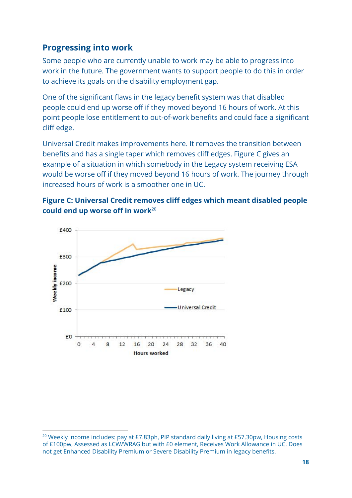# **Progressing into work**

Some people who are currently unable to work may be able to progress into work in the future. The government wants to support people to do this in order to achieve its goals on the disability employment gap.

One of the significant flaws in the legacy benefit system was that disabled people could end up worse off if they moved beyond 16 hours of work. At this point people lose entitlement to out-of-work benefits and could face a significant cliff edge.

Universal Credit makes improvements here. It removes the transition between benefits and has a single taper which removes cliff edges. Figure C gives an example of a situation in which somebody in the Legacy system receiving ESA would be worse off if they moved beyond 16 hours of work. The journey through increased hours of work is a smoother one in UC.





<sup>&</sup>lt;sup>20</sup> Weekly income includes: pay at £7.83ph, PIP standard daily living at £57.30pw, Housing costs of £100pw, Assessed as LCW/WRAG but with £0 element, Receives Work Allowance in UC. Does not get Enhanced Disability Premium or Severe Disability Premium in legacy benefits.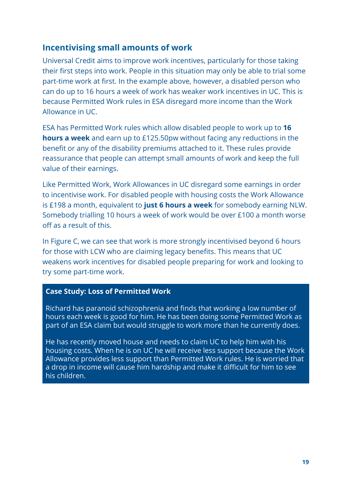# **Incentivising small amounts of work**

Universal Credit aims to improve work incentives, particularly for those taking their first steps into work. People in this situation may only be able to trial some part-time work at first. In the example above, however, a disabled person who can do up to 16 hours a week of work has weaker work incentives in UC. This is because Permitted Work rules in ESA disregard more income than the Work Allowance in UC.

ESA has Permitted Work rules which allow disabled people to work up to **16 hours a week** and earn up to £125.50pw without facing any reductions in the benefit or any of the disability premiums attached to it. These rules provide reassurance that people can attempt small amounts of work and keep the full value of their earnings.

Like Permitted Work, Work Allowances in UC disregard some earnings in order to incentivise work. For disabled people with housing costs the Work Allowance is £198 a month, equivalent to **just 6 hours a week** for somebody earning NLW. Somebody trialling 10 hours a week of work would be over £100 a month worse off as a result of this.

In Figure C, we can see that work is more strongly incentivised beyond 6 hours for those with LCW who are claiming legacy benefits. This means that UC weakens work incentives for disabled people preparing for work and looking to try some part-time work.

#### **Case Study: Loss of Permitted Work**

Richard has paranoid schizophrenia and finds that working a low number of hours each week is good for him. He has been doing some Permitted Work as part of an ESA claim but would struggle to work more than he currently does.

He has recently moved house and needs to claim UC to help him with his housing costs. When he is on UC he will receive less support because the Work Allowance provides less support than Permitted Work rules. He is worried that a drop in income will cause him hardship and make it difficult for him to see his children.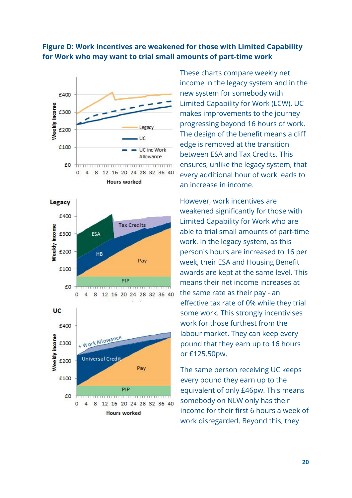#### **Figure D: Work incentives are weakened for those with Limited Capability for Work who may want to trial small amounts of part-time work**



12 16 20 24 28 32 36 40

**Hours worked** 

£0

 $\overline{0}$ 

8

These charts compare weekly net income in the legacy system and in the new system for somebody with Limited Capability for Work (LCW). UC makes improvements to the journey progressing beyond 16 hours of work. The design of the benefit means a cliff edge is removed at the transition between ESA and Tax Credits. This ensures, unlike the legacy system, that every additional hour of work leads to an increase in income.

However, work incentives are weakened significantly for those with Limited Capability for Work who are able to trial small amounts of part-time work. In the legacy system, as this person's hours are increased to 16 per week, their ESA and Housing Benefit awards are kept at the same level. This means their net income increases at the same rate as their pay - an effective tax rate of 0% while they trial some work. This strongly incentivises work for those furthest from the labour market. They can keep every pound that they earn up to 16 hours or £125.50pw.

The same person receiving UC keeps every pound they earn up to the equivalent of only £46pw. This means somebody on NLW only has their income for their first 6 hours a week of work disregarded. Beyond this, they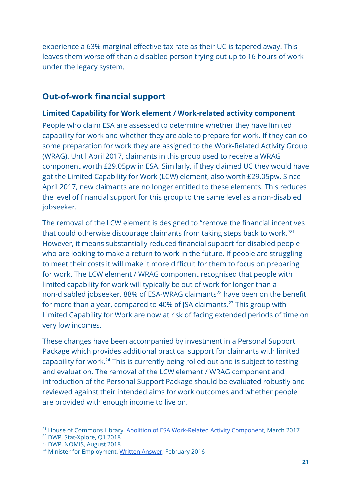experience a 63% marginal effective tax rate as their UC is tapered away. This leaves them worse off than a disabled person trying out up to 16 hours of work under the legacy system.

# **Out-of-work financial support**

#### **Limited Capability for Work element / Work-related activity component**

People who claim ESA are assessed to determine whether they have limited capability for work and whether they are able to prepare for work. If they can do some preparation for work they are assigned to the Work-Related Activity Group (WRAG). Until April 2017, claimants in this group used to receive a WRAG component worth £29.05pw in ESA. Similarly, if they claimed UC they would have got the Limited Capability for Work (LCW) element, also worth £29.05pw. Since April 2017, new claimants are no longer entitled to these elements. This reduces the level of financial support for this group to the same level as a non-disabled jobseeker.

The removal of the LCW element is designed to "remove the financial incentives that could otherwise discourage claimants from taking steps back to work."<sup>21</sup> However, it means substantially reduced financial support for disabled people who are looking to make a return to work in the future. If people are struggling to meet their costs it will make it more difficult for them to focus on preparing for work. The LCW element / WRAG component recognised that people with limited capability for work will typically be out of work for longer than a non-disabled jobseeker. 88% of ESA-WRAG claimants<sup>22</sup> have been on the benefit for more than a year, compared to 40% of JSA claimants.<sup>23</sup> This group with Limited Capability for Work are now at risk of facing extended periods of time on very low incomes.

These changes have been accompanied by investment in a Personal Support Package which provides additional practical support for claimants with limited capability for work.<sup>24</sup> This is currently being rolled out and is subject to testing and evaluation. The removal of the LCW element / WRAG component and introduction of the Personal Support Package should be evaluated robustly and reviewed against their intended aims for work outcomes and whether people are provided with enough income to live on.

<sup>&</sup>lt;sup>21</sup> House of Commons Library, Abolition of ESA [Work-Related](http://researchbriefings.files.parliament.uk/documents/CBP-7649/CBP-7649.pdf) Activity Component, March 2017

<sup>22</sup> DWP, Stat-Xplore, Q1 2018

<sup>23</sup> DWP, NOMIS, August 2018

<sup>&</sup>lt;sup>24</sup> Minister for Employment, Written [Answer,](https://www.parliament.uk/written-questions-answers-statements/written-question/commons/2016-02-24/28281) February 2016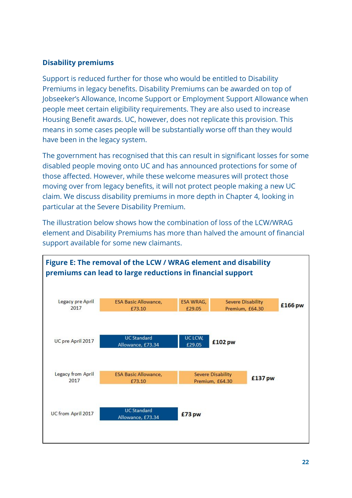#### **Disability premiums**

Support is reduced further for those who would be entitled to Disability Premiums in legacy benefits. Disability Premiums can be awarded on top of Jobseeker's Allowance, Income Support or Employment Support Allowance when people meet certain eligibility requirements. They are also used to increase Housing Benefit awards. UC, however, does not replicate this provision. This means in some cases people will be substantially worse off than they would have been in the legacy system.

The government has recognised that this can result in significant losses for some disabled people moving onto UC and has announced protections for some of those affected. However, while these welcome measures will protect those moving over from legacy benefits, it will not protect people making a new UC claim. We discuss disability premiums in more depth in Chapter 4, looking in particular at the Severe Disability Premium.

The illustration below shows how the combination of loss of the LCW/WRAG element and Disability Premiums has more than halved the amount of financial support available for some new claimants.

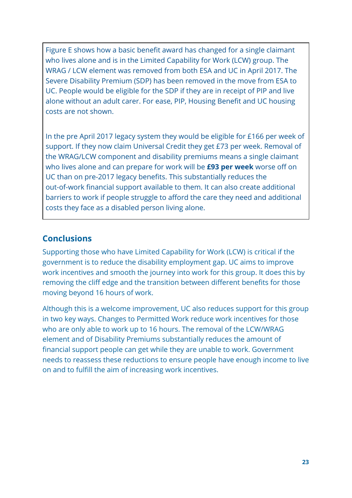Figure E shows how a basic benefit award has changed for a single claimant who lives alone and is in the Limited Capability for Work (LCW) group. The WRAG / LCW element was removed from both ESA and UC in April 2017. The Severe Disability Premium (SDP) has been removed in the move from ESA to UC. People would be eligible for the SDP if they are in receipt of PIP and live alone without an adult carer. For ease, PIP, Housing Benefit and UC housing costs are not shown.

In the pre April 2017 legacy system they would be eligible for £166 per week of support. If they now claim Universal Credit they get £73 per week. Removal of the WRAG/LCW component and disability premiums means a single claimant who lives alone and can prepare for work will be **£93 per week** worse off on UC than on pre-2017 legacy benefits. This substantially reduces the out-of-work financial support available to them. It can also create additional barriers to work if people struggle to afford the care they need and additional costs they face as a disabled person living alone.

# **Conclusions**

Supporting those who have Limited Capability for Work (LCW) is critical if the government is to reduce the disability employment gap. UC aims to improve work incentives and smooth the journey into work for this group. It does this by removing the cliff edge and the transition between different benefits for those moving beyond 16 hours of work.

Although this is a welcome improvement, UC also reduces support for this group in two key ways. Changes to Permitted Work reduce work incentives for those who are only able to work up to 16 hours. The removal of the LCW/WRAG element and of Disability Premiums substantially reduces the amount of financial support people can get while they are unable to work. Government needs to reassess these reductions to ensure people have enough income to live on and to fulfill the aim of increasing work incentives.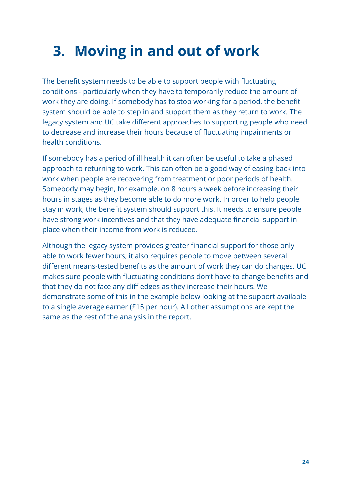# <span id="page-24-0"></span>**3. Moving in and out of work**

The benefit system needs to be able to support people with fluctuating conditions - particularly when they have to temporarily reduce the amount of work they are doing. If somebody has to stop working for a period, the benefit system should be able to step in and support them as they return to work. The legacy system and UC take different approaches to supporting people who need to decrease and increase their hours because of fluctuating impairments or health conditions.

If somebody has a period of ill health it can often be useful to take a phased approach to returning to work. This can often be a good way of easing back into work when people are recovering from treatment or poor periods of health. Somebody may begin, for example, on 8 hours a week before increasing their hours in stages as they become able to do more work. In order to help people stay in work, the benefit system should support this. It needs to ensure people have strong work incentives and that they have adequate financial support in place when their income from work is reduced.

Although the legacy system provides greater financial support for those only able to work fewer hours, it also requires people to move between several different means-tested benefits as the amount of work they can do changes. UC makes sure people with fluctuating conditions don't have to change benefits and that they do not face any cliff edges as they increase their hours. We demonstrate some of this in the example below looking at the support available to a single average earner (£15 per hour). All other assumptions are kept the same as the rest of the analysis in the report.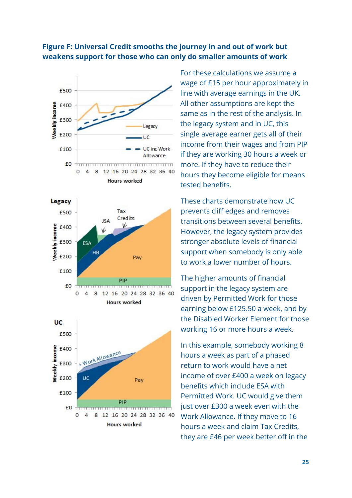#### **Figure F: Universal Credit smooths the journey in and out of work but weakens support for those who can only do smaller amounts of work**







For these calculations we assume a wage of £15 per hour approximately in line with average earnings in the UK. All other assumptions are kept the same as in the rest of the analysis. In the legacy system and in UC, this single average earner gets all of their income from their wages and from PIP if they are working 30 hours a week or more. If they have to reduce their hours they become eligible for means tested benefits.

These charts demonstrate how UC prevents cliff edges and removes transitions between several benefits. However, the legacy system provides stronger absolute levels of financial support when somebody is only able to work a lower number of hours.

The higher amounts of financial support in the legacy system are driven by Permitted Work for those earning below £125.50 a week, and by the Disabled Worker Element for those working 16 or more hours a week.

In this example, somebody working 8 hours a week as part of a phased return to work would have a net income of over £400 a week on legacy benefits which include ESA with Permitted Work. UC would give them just over £300 a week even with the Work Allowance. If they move to 16 hours a week and claim Tax Credits, they are £46 per week better off in the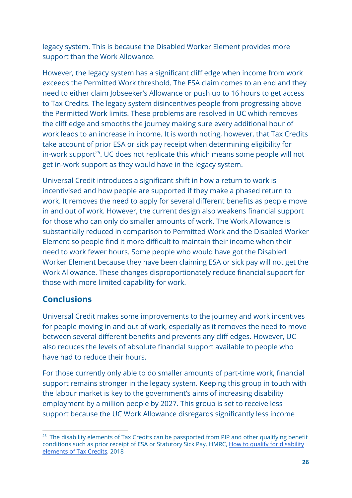legacy system. This is because the Disabled Worker Element provides more support than the Work Allowance.

However, the legacy system has a significant cliff edge when income from work exceeds the Permitted Work threshold. The ESA claim comes to an end and they need to either claim Jobseeker's Allowance or push up to 16 hours to get access to Tax Credits. The legacy system disincentives people from progressing above the Permitted Work limits. These problems are resolved in UC which removes the cliff edge and smooths the journey making sure every additional hour of work leads to an increase in income. It is worth noting, however, that Tax Credits take account of prior ESA or sick pay receipt when determining eligibility for  $in$ -work support<sup>25</sup>. UC does not replicate this which means some people will not get in-work support as they would have in the legacy system.

Universal Credit introduces a significant shift in how a return to work is incentivised and how people are supported if they make a phased return to work. It removes the need to apply for several different benefits as people move in and out of work. However, the current design also weakens financial support for those who can only do smaller amounts of work. The Work Allowance is substantially reduced in comparison to Permitted Work and the Disabled Worker Element so people find it more difficult to maintain their income when their need to work fewer hours. Some people who would have got the Disabled Worker Element because they have been claiming ESA or sick pay will not get the Work Allowance. These changes disproportionately reduce financial support for those with more limited capability for work.

### **Conclusions**

Universal Credit makes some improvements to the journey and work incentives for people moving in and out of work, especially as it removes the need to move between several different benefits and prevents any cliff edges. However, UC also reduces the levels of absolute financial support available to people who have had to reduce their hours.

For those currently only able to do smaller amounts of part-time work, financial support remains stronger in the legacy system. Keeping this group in touch with the labour market is key to the government's aims of increasing disability employment by a million people by 2027. This group is set to receive less support because the UC Work Allowance disregards significantly less income

<sup>&</sup>lt;sup>25</sup> The disability elements of Tax Credits can be passported from PIP and other qualifying benefit conditions such as prior receipt of ESA or Statutory Sick Pay. HMRC, How to qualify for [disability](https://assets.publishing.service.gov.uk/government/uploads/system/uploads/attachment_data/file/738887/TC956_Disability_Helpsheet_Eng_2018.pdf) [elements](https://assets.publishing.service.gov.uk/government/uploads/system/uploads/attachment_data/file/738887/TC956_Disability_Helpsheet_Eng_2018.pdf) of Tax Credits, 2018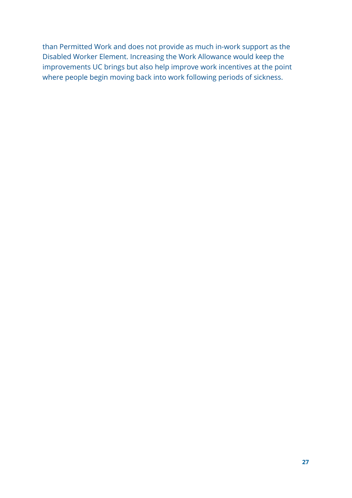than Permitted Work and does not provide as much in-work support as the Disabled Worker Element. Increasing the Work Allowance would keep the improvements UC brings but also help improve work incentives at the point where people begin moving back into work following periods of sickness.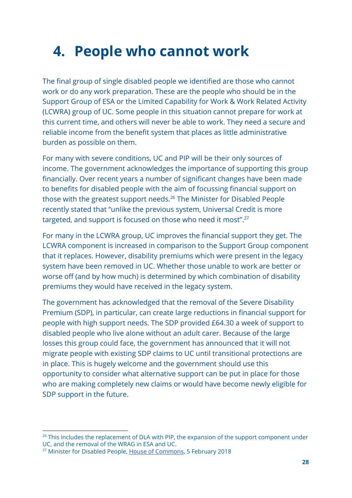# <span id="page-28-0"></span>**4. People who cannot work**

The final group of single disabled people we identified are those who cannot work or do any work preparation. These are the people who should be in the Support Group of ESA or the Limited Capability for Work & Work Related Activity (LCWRA) group of UC. Some people in this situation cannot prepare for work at this current time, and others will never be able to work. They need a secure and reliable income from the benefit system that places as little administrative burden as possible on them.

For many with severe conditions, UC and PIP will be their only sources of income. The government acknowledges the importance of supporting this group financially. Over recent years a number of significant changes have been made to benefits for disabled people with the aim of focussing financial support on those with the greatest support needs.<sup>26</sup> The Minister for Disabled People recently stated that "unlike the previous system, Universal Credit is more targeted, and support is focused on those who need it most".<sup>27</sup>

For many in the LCWRA group, UC improves the financial support they get. The LCWRA component is increased in comparison to the Support Group component that it replaces. However, disability premiums which were present in the legacy system have been removed in UC. Whether those unable to work are better or worse off (and by how much) is determined by which combination of disability premiums they would have received in the legacy system.

The government has acknowledged that the removal of the Severe Disability Premium (SDP), in particular, can create large reductions in financial support for people with high support needs. The SDP provided £64.30 a week of support to disabled people who live alone without an adult carer. Because of the large losses this group could face, the government has announced that it will not migrate people with existing SDP claims to UC until transitional protections are in place. This is hugely welcome and the government should use this opportunity to consider what alternative support can be put in place for those who are making completely new claims or would have become newly eligible for SDP support in the future.

<sup>&</sup>lt;sup>26</sup> This includes the replacement of DLA with PIP, the expansion of the support component under UC, and the removal of the WRAG in ESA and UC.

<sup>&</sup>lt;sup>27</sup> Minister for Disabled People, House of [Commons,](http://bit.ly/2EIfXbO) 5 February 2018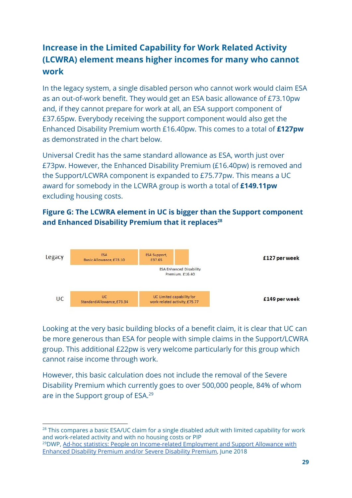# **Increase in the Limited Capability for Work Related Activity (LCWRA) element means higher incomes for many who cannot work**

In the legacy system, a single disabled person who cannot work would claim ESA as an out-of-work benefit. They would get an ESA basic allowance of £73.10pw and, if they cannot prepare for work at all, an ESA support component of £37.65pw. Everybody receiving the support component would also get the Enhanced Disability Premium worth £16.40pw. This comes to a total of **£127pw** as demonstrated in the chart below.

Universal Credit has the same standard allowance as ESA, worth just over £73pw. However, the Enhanced Disability Premium (£16.40pw) is removed and the Support/LCWRA component is expanded to £75.77pw. This means a UC award for somebody in the LCWRA group is worth a total of **£149.11pw** excluding housing costs.

### **Figure G: The LCWRA element in UC is bigger than the Support component and Enhanced Disability Premium that it replaces<sup>28</sup>**



Looking at the very basic building blocks of a benefit claim, it is clear that UC can be more generous than ESA for people with simple claims in the Support/LCWRA group. This additional £22pw is very welcome particularly for this group which cannot raise income through work.

However, this basic calculation does not include the removal of the Severe Disability Premium which currently goes to over 500,000 people, 84% of whom are in the Support group of ESA.<sup>29</sup>

<sup>&</sup>lt;sup>28</sup> This compares a basic ESA/UC claim for a single disabled adult with limited capability for work and work-related activity and with no housing costs or PIP

<sup>&</sup>lt;sup>29</sup>DWP, Ad-hoc statistics: People on [Income-related](https://assets.publishing.service.gov.uk/government/uploads/system/uploads/attachment_data/file/714479/ad-hoc-statistics-income-related-employment-and-support-allowance-february-2018.pdf) Employment and Support Allowance with [Enhanced](https://assets.publishing.service.gov.uk/government/uploads/system/uploads/attachment_data/file/714479/ad-hoc-statistics-income-related-employment-and-support-allowance-february-2018.pdf) Disability Premium and/or Severe Disability Premium, June 2018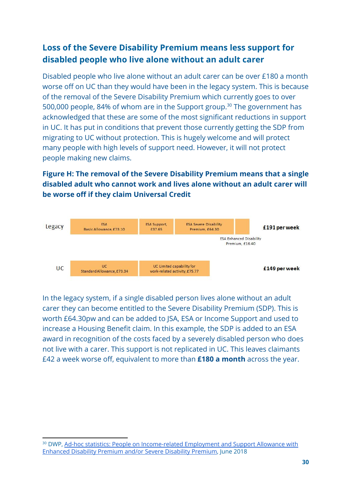# **Loss of the Severe Disability Premium means less support for disabled people who live alone without an adult carer**

Disabled people who live alone without an adult carer can be over £180 a month worse off on UC than they would have been in the legacy system. This is because of the removal of the Severe Disability Premium which currently goes to over 500,000 people, 84% of whom are in the Support group.<sup>30</sup> The government has acknowledged that these are some of the most significant reductions in support in UC. It has put in conditions that prevent those currently getting the SDP from migrating to UC without protection. This is hugely welcome and will protect many people with high levels of support need. However, it will not protect people making new claims.

### **Figure H: The removal of the Severe Disability Premium means that a single disabled adult who cannot work and lives alone without an adult carer will be worse off if they claim Universal Credit**



In the legacy system, if a single disabled person lives alone without an adult carer they can become entitled to the Severe Disability Premium (SDP). This is worth £64.30pw and can be added to JSA, ESA or Income Support and used to increase a Housing Benefit claim. In this example, the SDP is added to an ESA award in recognition of the costs faced by a severely disabled person who does not live with a carer. This support is not replicated in UC. This leaves claimants £42 a week worse off, equivalent to more than **£180 a month** across the year.

<sup>&</sup>lt;sup>30</sup> DWP, Ad-hoc statistics: People on [Income-related](https://assets.publishing.service.gov.uk/government/uploads/system/uploads/attachment_data/file/714479/ad-hoc-statistics-income-related-employment-and-support-allowance-february-2018.pdf) Employment and Support Allowance with [Enhanced](https://assets.publishing.service.gov.uk/government/uploads/system/uploads/attachment_data/file/714479/ad-hoc-statistics-income-related-employment-and-support-allowance-february-2018.pdf) Disability Premium and/or Severe Disability Premium, June 2018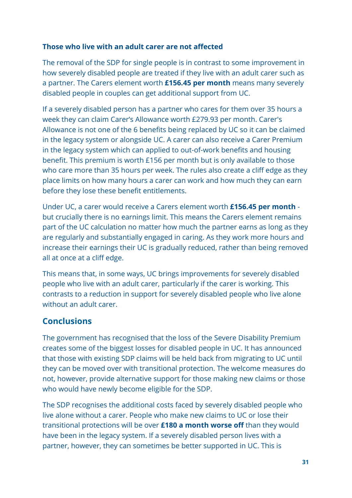#### **Those who live with an adult carer are not affected**

The removal of the SDP for single people is in contrast to some improvement in how severely disabled people are treated if they live with an adult carer such as a partner. The Carers element worth **£156.45 per month** means many severely disabled people in couples can get additional support from UC.

If a severely disabled person has a partner who cares for them over 35 hours a week they can claim Carer's Allowance worth £279.93 per month. Carer's Allowance is not one of the 6 benefits being replaced by UC so it can be claimed in the legacy system or alongside UC. A carer can also receive a Carer Premium in the legacy system which can applied to out-of-work benefits and housing benefit. This premium is worth £156 per month but is only available to those who care more than 35 hours per week. The rules also create a cliff edge as they place limits on how many hours a carer can work and how much they can earn before they lose these benefit entitlements.

Under UC, a carer would receive a Carers element worth **£156.45 per month** but crucially there is no earnings limit. This means the Carers element remains part of the UC calculation no matter how much the partner earns as long as they are regularly and substantially engaged in caring. As they work more hours and increase their earnings their UC is gradually reduced, rather than being removed all at once at a cliff edge.

This means that, in some ways, UC brings improvements for severely disabled people who live with an adult carer, particularly if the carer is working. This contrasts to a reduction in support for severely disabled people who live alone without an adult carer.

# **Conclusions**

The government has recognised that the loss of the Severe Disability Premium creates some of the biggest losses for disabled people in UC. It has announced that those with existing SDP claims will be held back from migrating to UC until they can be moved over with transitional protection. The welcome measures do not, however, provide alternative support for those making new claims or those who would have newly become eligible for the SDP.

The SDP recognises the additional costs faced by severely disabled people who live alone without a carer. People who make new claims to UC or lose their transitional protections will be over **£180 a month worse off** than they would have been in the legacy system. If a severely disabled person lives with a partner, however, they can sometimes be better supported in UC. This is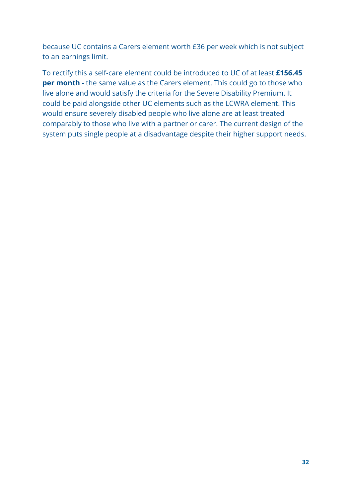because UC contains a Carers element worth £36 per week which is not subject to an earnings limit.

To rectify this a self-care element could be introduced to UC of at least **£156.45 per month** - the same value as the Carers element. This could go to those who live alone and would satisfy the criteria for the Severe Disability Premium. It could be paid alongside other UC elements such as the LCWRA element. This would ensure severely disabled people who live alone are at least treated comparably to those who live with a partner or carer. The current design of the system puts single people at a disadvantage despite their higher support needs.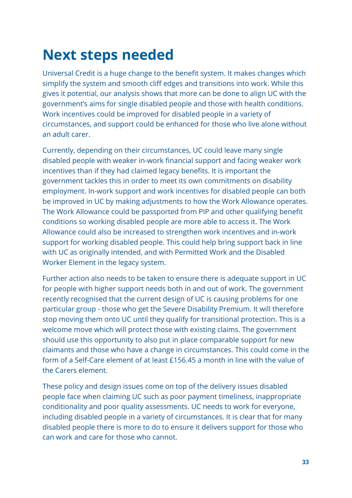# <span id="page-33-0"></span>**Next steps needed**

Universal Credit is a huge change to the benefit system. It makes changes which simplify the system and smooth cliff edges and transitions into work. While this gives it potential, our analysis shows that more can be done to align UC with the government's aims for single disabled people and those with health conditions. Work incentives could be improved for disabled people in a variety of circumstances, and support could be enhanced for those who live alone without an adult carer.

Currently, depending on their circumstances, UC could leave many single disabled people with weaker in-work financial support and facing weaker work incentives than if they had claimed legacy benefits. It is important the government tackles this in order to meet its own commitments on disability employment. In-work support and work incentives for disabled people can both be improved in UC by making adjustments to how the Work Allowance operates. The Work Allowance could be passported from PIP and other qualifying benefit conditions so working disabled people are more able to access it. The Work Allowance could also be increased to strengthen work incentives and in-work support for working disabled people. This could help bring support back in line with UC as originally intended, and with Permitted Work and the Disabled Worker Element in the legacy system.

Further action also needs to be taken to ensure there is adequate support in UC for people with higher support needs both in and out of work. The government recently recognised that the current design of UC is causing problems for one particular group - those who get the Severe Disability Premium. It will therefore stop moving them onto UC until they qualify for transitional protection. This is a welcome move which will protect those with existing claims. The government should use this opportunity to also put in place comparable support for new claimants and those who have a change in circumstances. This could come in the form of a Self-Care element of at least £156.45 a month in line with the value of the Carers element.

These policy and design issues come on top of the delivery issues disabled people face when claiming UC such as poor payment timeliness, inappropriate conditionality and poor quality assessments. UC needs to work for everyone, including disabled people in a variety of circumstances. It is clear that for many disabled people there is more to do to ensure it delivers support for those who can work and care for those who cannot.